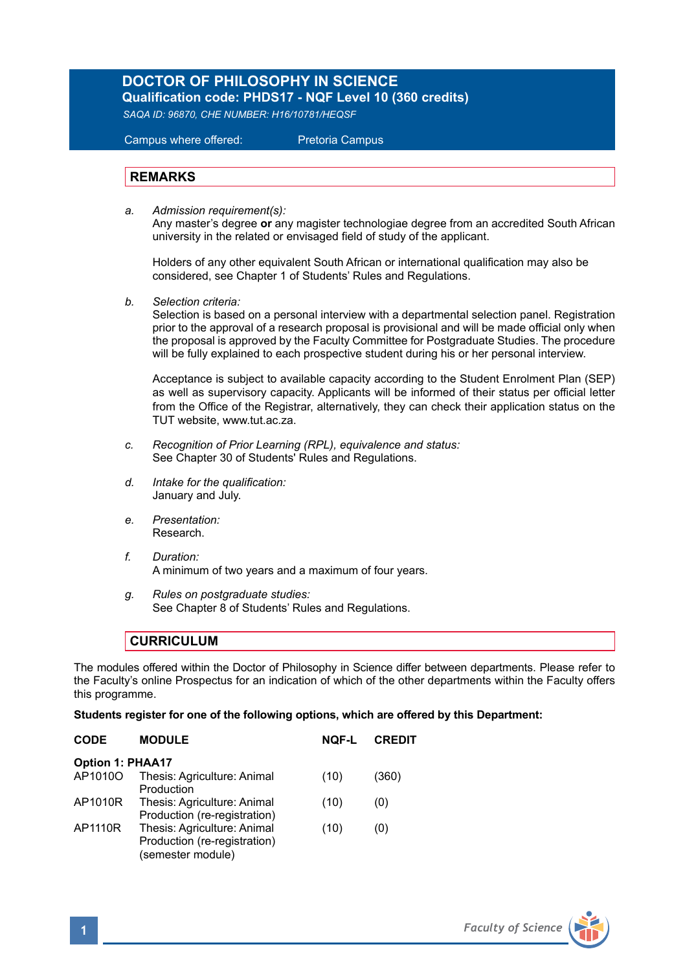## **DOCTOR OF PHILOSOPHY IN SCIENCE**

**Qualification code: PHDS17 - NQF Level 10 (360 credits)** *SAQA ID: 96870, CHE NUMBER: H16/10781/HEQSF*

Campus where offered: Pretoria Campus

## **REMARKS**

*a. Admission requirement(s):* 

 Any master's degree **or** any magister technologiae degree from an accredited South African university in the related or envisaged field of study of the applicant.

Holders of any other equivalent South African or international qualification may also be considered, see Chapter 1 of Students' Rules and Regulations.

*b. Selection criteria:*

Selection is based on a personal interview with a departmental selection panel. Registration prior to the approval of a research proposal is provisional and will be made official only when the proposal is approved by the Faculty Committee for Postgraduate Studies. The procedure will be fully explained to each prospective student during his or her personal interview.

Acceptance is subject to available capacity according to the Student Enrolment Plan (SEP) as well as supervisory capacity. Applicants will be informed of their status per official letter from the Office of the Registrar, alternatively, they can check their application status on the TUT website, www.tut.ac.za.

- *c. Recognition of Prior Learning (RPL), equivalence and status:* See Chapter 30 of Students' Rules and Regulations.
- *d. Intake for the qualification:* January and July.
- *e. Presentation:*  Research.
- *f. Duration:* A minimum of two years and a maximum of four years.
- *g. Rules on postgraduate studies:* See Chapter 8 of Students' Rules and Regulations.

## **CURRICULUM**

The modules offered within the Doctor of Philosophy in Science differ between departments. Please refer to the Faculty's online Prospectus for an indication of which of the other departments within the Faculty offers this programme.

**Students register for one of the following options, which are offered by this Department:**

| <b>CODE</b>             | <b>MODULE</b>                                                                    | NOF-L | <b>CREDIT</b> |  |  |
|-------------------------|----------------------------------------------------------------------------------|-------|---------------|--|--|
| <b>Option 1: PHAA17</b> |                                                                                  |       |               |  |  |
| AP1010O                 | Thesis: Agriculture: Animal<br>Production                                        | (10)  | (360)         |  |  |
| AP1010R                 | Thesis: Agriculture: Animal<br>Production (re-registration)                      | (10)  | (0)           |  |  |
| AP1110R                 | Thesis: Agriculture: Animal<br>Production (re-registration)<br>(semester module) | (10)  | (0)           |  |  |